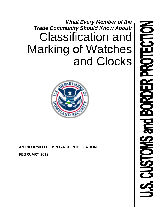# *What Every Member of the Trade Community Should Know About:*  Classification and Marking of Watches and Clocks



**AN INFORMED COMPLIANCE PUBLICATION FEBRUARY 2012**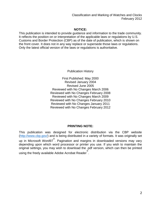Classification and Marking of Watches and Clocks February 2012

#### **NOTICE:**

This publication is intended to provide guidance and information to the trade community. It reflects the position on or interpretation of the applicable laws or regulations by U.S. Customs and Border Protection (CBP) as of the date of publication, which is shown on the front cover. It does not in any way replace or supersede those laws or regulations. Only the latest official version of the laws or regulations is authoritative.

Publication History

First Published: May 2000 Revised January 2004 Revised June 2005 Reviewed with No Changes March 2006 Reviewed with No Changes February 2008 Reviewed with No Changes March 2009 Reviewed with No Changes February 2010 Reviewed with No Changes January 2011 Reviewed with No Changes February 2012

#### **PRINTING NOTE:**

This publication was designed for electronic distribution via the CBP website [\(http://www.cbp.gov/\)](http://www.cbp.gov/) and is being distributed in a variety of formats. It was originally set up in Microsoft Word97 $^{\circ}$ . Pagination and margins in downloaded versions may vary depending upon which word processor or printer you use. If you wish to maintain the original settings, you may wish to download the .pdf version, which can then be printed using the freely available Adobe Acrobat Reader $^{\circ\!\!\!\!}$  .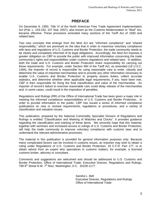## **PREFACE**

On December 8, 1993, Title VI of the North American Free Trade Agreement Implementation Act (Pub. L. 103-182, 107 Stat. 2057), also known as the Customs Modernization or "Mod" Act, became effective. These provisions amended many sections of the Tariff Act of 1930 and related laws.

Two new concepts that emerge from the Mod Act are "informed compliance" and "shared responsibility," which are premised on the idea that in order to maximize voluntary compliance with laws and regulations of U.S. Customs and Border Protection, the trade community needs to be clearly and completely informed of its legal obligations. Accordingly, the Mod Act imposes a greater obligation on CBP to provide the public with improved information concerning the trade community's rights and responsibilities under customs regulations and related laws. In addition, both the trade and U.S. Customs and Border Protection share responsibility for carrying out these requirements. For example, under Section 484 of the Tariff Act, as amended (19 U.S.C. 1484), the importer of record is responsible for using reasonable care to enter, classify and determine the value of imported merchandise and to provide any other information necessary to enable U.S. Customs and Border Protection to properly assess duties, collect accurate statistics, and determine whether other applicable legal requirements, if any, have been met. CBP is then responsible for fixing the final classification and value of the merchandise. An importer of record's failure to exercise reasonable care could delay release of the merchandise and, in some cases, could result in the imposition of penalties.

Regulations and Rulings (RR) of the Office of International Trade has been given a major role in meeting the informed compliance responsibilities of U.S. Customs and Border Protection. In order to provide information to the public, CBP has issued a series of informed compliance publications on new or revised requirements, regulations or procedures, and a variety of classification and valuation issues.

This publication, prepared by the National Commodity Specialist Division of Regulations and Rulings is entitled "Classification and Marking of Watches and Clocks". It provides guidance regarding the classification and marking of these items. We sincerely hope that this material, together with seminars and increased access to rulings of U.S. Customs and Border Protection, will help the trade community to improve voluntary compliance with customs laws and to understand the relevant administrative processes.

The material in this publication is provided for general information purposes only. Because many complicated factors can be involved in customs issues, an importer may wish to obtain a ruling under Regulations of U.S. Customs and Border Protection, 19 C.F.R. Part 177, or to obtain advice from an expert who specializes in customs matters, for example, a licensed customs broker, attorney or consultant.

Comments and suggestions are welcomed and should be addressed to U.S. Customs and Border Protection, Office of International Trade, Executive Director, Regulations and Rulings, 799  $9<sup>th</sup>$  Street N.W.  $7<sup>th</sup>$  floor, Washington, D.C. 20229-1177.

> Sandra L. Bell Executive Director, Regulations and Rulings Office of International Trade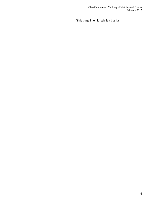(This page intentionally left blank)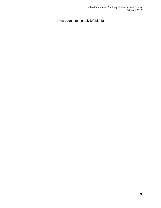(This page intentionally left blank)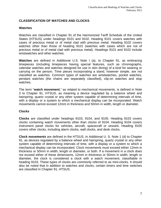#### <span id="page-6-0"></span>**CLASSIFICATION OF WATCHES AND CLOCKS**

#### <span id="page-6-1"></span>**Watches**

Watches are classified in Chapter 91 of the Harmonized Tariff Schedule of the United States (HTSUS) under headings 9101 and 9102. Heading 9101 covers watches with cases of precious metal or of metal clad with precious metal. Heading 9102 covers watches other than those of heading 9101 (watches with cases which are not of precious metal or of metal clad with precious metal). Headings 9101 and 9102 include wristwatches and other watches.

**Watches** are defined in Additional U.S. Note I (a), to Chapter 91, as embracing timepieces (including timepieces having special features, such as chronographs, calendar watches and watches designed for use in skin diving) of a kind for wearing or carrying on the person. Time pieces incorporating a stand, however simple, are not classified as watches. Common types of watches are wristwatches, pocket watches, pendant watches (the chains are separately classified), clip-on watches and stop watches.

The term "**watch movement**," as related to mechanical movements, is defined in Note 3 to Chapter 91, HTSUS, as meaning a device regulated by a balance wheel and hairspring, quartz crystal or any other system capable of determining intervals of time, with a display or a system to which a mechanical display can be incorporated. Watch movements cannot exceed 12mm in thickness and 50mm in width, length or diameter.

#### <span id="page-6-2"></span>**Clocks**

**Clocks** are classified under headings 9103, 9104, and 9105. Heading 9103 covers clocks containing watch movements other than clocks of 9104. Heading 9104 covers instrument panel clocks for vehicles, aircraft, spacecraft or vessels. Heading 9105 covers other clocks, including alarm clocks, wall clocks, and desk clocks.

**Clock movements** are defined in the HTSUS, in Additional U. S. Note 1 (d) to Chapter 91, as devices regulated by a balance wheel and hairspring, quartz crystal or any other system capable of determining intervals of time, with a display or a system to which a mechanical display can be incorporated. Clock movements must exceed either 12mm in thickness or 50mm in width, length or diameter, or both. If a movement in a clock does not exceed either of these dimensions, 12mm in thickness or 50mm in width, length or diameter, the clock is considered a clock with a watch movement, classifiable in heading 9103. These types of clocks are commonly referred to as mini-clocks. It should also be noted that in addition to watches and clocks, certain timers and time switches are classified in Chapter 91, HTSUS.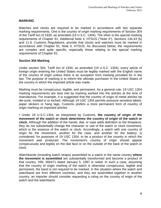#### <span id="page-7-0"></span>**MARKING**

Watches and clocks are required to be marked in accordance with two separate marking requirements. One is the country of origin marking requirements of Section 304 of the Tariff Act of 1930, as amended (19 U.S.C. 1304). The other is the special marking requirements of Chapter 91, Additional Note 4, HTSUS ("Note 4"). Sections 134.43 (b) and 11.9, Customs Regulations, provide that clocks and watches must be marked in accordance with Chapter 91, Note 4, HTSUS. As discussed below, the requirements are complex and quite specific, especially those relating to the special marking requirements of Chapter 91.

#### <span id="page-7-1"></span>**Section 304 Marking**

Under section 304, Tariff Act of 1930, as amended (19 U.S.C. 1304), every article of foreign origin entering the United States must be legibly marked with the English name of the country of origin unless there is an exception from marking provided for in the law. The purpose of marking is to inform the ultimate purchaser in the United States of the country in which the imported article was made.

Marking must be conspicuous, legible, and permanent. As a general rule, 19 USC 1304 marking requirements are best met by marking worked into the articles at the time of manufacture. For example, it is suggested that the country of origin of metal articles be die-sunk, molded in or etched. Although 19 USC 1304 permits pressure sensitive labels, paper stickers or hang tags, Customs prefers a more permanent form of country of origin marking on imported articles.

• Under 19 U.S.C.1304, as interpreted by Customs, **the country of origin of the movement of the watch or clock determines the country of origin of the watch or clock.** Although the addition of the hands, dial, or case adds definition to the timepiece, they do not substantially change the character or use of the watch or clock movement, which is the essence of the watch or clock. Accordingly, a watch with one country of origin for the movement, another for the case, and another for the battery, is considered, for purposes of 19 USC 1304, to be a product of the country in which the movement was produced. The movement's country of origin should appear conspicuously and legibly on the dial face or on the outside of the back of the watch or clock.

Watchbands (including watch straps) assembled to a watch in the same country **where the movement is assembled** are substantially transformed and become a product of that country. HRL 560471 dated January 5, 1997 is noted. In such a case, assuming that the country of origin marking of the watch is otherwise conspicuous, legible and permanent, the band is not required to be marked. In the situation where the watch and watchband are from different countries, and they are assembled together in another country, an importer should consider requesting a ruling on the country of origin of the watch and the watchband.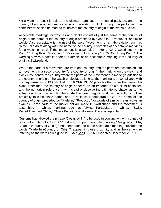• If a watch or clock is sold to the ultimate purchaser in a sealed package, and if the country of origin is not clearly visible on the watch or clock through the packaging, the container must also be marked to indicate the country of origin of the watch or clock.

Acceptable markings for watches and clocks consist of just the name of the country of origin or the name of the country of origin preceded by "Made in," "Product of" or similar words. Also acceptable is the use of the word "Movement" or an abbreviation such as "Mov't" or "Movt" along with the name of the country. Examples of acceptable markings for a watch or clock if the movement is assembled in Hong Kong would be: "Hong Kong," "Hong Kong Movement," "Movement Hong Kong," or "MOVT Hong Kong." The wording "Swiss Made" is another example of an acceptable marking if the country of origin is Switzerland.

Where the parts of a movement are from one country, and the parts are assembled into a movement in a second country (the country of origin), the marking on the watch and clock may identify the country where the parts of the movement are made (in addition to the country of origin of the watch or clock), as long as the marking is in compliance with the requirements of 19 CFR 134.46. 19 CFR 134.46 provides that when the name of a place other than the country of origin appears on an imported article or its container, and the non-origin reference may mislead or deceive the ultimate purchaser as to the actual origin of the article, there shall appear, legibly and permanently, in close proximity to such place name, and in at least a comparable size, the name of the country of origin preceded by "Made in," "Product of" or words of similar meaning. As an example, if the parts of the movement are made in Switzerland and the movement is assembled in China, markings such as "Swiss Parts/Made in China," "Swiss Parts/Movement China," "Swiss Parts/China Movement" are acceptable.

Customs has allowed the phrase "Designed In" to be used in conjunction with country of origin information, for 19 USC 1304 marking purposes. The marking "Designed in USA, Made in (Country of Origin)," has been found to be an acceptable marking provided the words "Made In (Country of Origin)" appear in close proximity and in the same size lettering as the words "Designed in USA." See HRL 560202 dated December 20, 1996.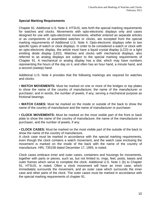#### <span id="page-9-0"></span>**Special Marking Requirements**

Chapter 91, Additional U.S. Note 4, HTSUS, sets forth the special marking requirements for watches and clocks. Movements with opto-electronic displays only and cases designed for use with opto-electronic movements, whether entered as separate articles or as components of assembled watches or clocks, are excepted from the special marking requirements of Additional U.S. Note 4. Opto-electronic displays refer to two specific types of watch or clock displays. In order to be considered a watch or clock with an opto-electronic display, the article must have a liquid crystal display (LCD) or a light emitting diode display (LED). Watches and clocks with mechanical displays, also referred to as analog displays are subject to the special marking requirements of Chapter 91. A mechanical or analog display has a dial, which may have numbers representing the hours of the day on it, and often has an hour hand, a minute hand, and a second (sweep) hand.

Additional U.S. Note 4 provides that the following markings are required for watches and clocks:

• **WATCH MOVEMENTS:** Must be marked on one or more of the bridges or top plates to show the name of the country of manufacture; the name of the manufacturer or purchaser; and in words, the number of jewels, if any, serving a mechanical purpose as frictional bearings.

• **WATCH CASES:** Must be marked on the inside or outside of the back to show the name of the country of manufacture and the name of manufacturer or purchaser.

• **CLOCK MOVEMENTS:** Must be marked on the most visible part of the front or back plate to show the name of the country of manufacture; the name of the manufacturer or purchaser, and the number of jewels, if any.

• **CLOCK CASES:** Must be marked on the most visible part of the outside of the back to show the name of the country of manufacture.

A clock case must be marked in accordance with the special marking requirements, even though the clock contains a watch movement, and the watch case enclosing the movement is marked on the inside of the back with the name of the country of manufacture. HRL 735158 dated December 17, 1993, is noted.

Clock cases embrace inner and outer cases, containers and housings for movements, together with parts or pieces, such as, but not limited to, rings, feet, posts, bases and outer frames which serve to complete the clock. Additional U.S. Note 1 (b) to Chapter 91, HTSUS, is noted. Often a clock movement will have an inner case, which immediately surrounds the movement, and an outer case which surrounds the inner case and other parts of the clock. The outer cases must be marked in accordance with the special marking requirements of chapter 91.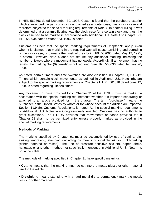In HRL 560866 dated November 30, 1998, Customs found that the cardboard exterior which surrounded the parts of a clock and acted as an outer case, was a clock case and therefore subject to the special marking requirements of Note 4. In another ruling, it was determined that a ceramic figurine was the clock case for a certain clock and thus, the clock case had to be marked in accordance with Additional U.S. Note 4 to Chapter 91. HRL 559934 dated October 23, 1996, is noted.

Customs has held that the special marking requirements of Chapter 91 apply, even when it is claimed that marking in the required way will cause tarnishing and corroding of the clock case, or damage the finish of the clock (HRL 559066 dated May 12, 1995, is noted). However, Note 4 does not require any additional marking indicating the number of jewels where a movement has no jewels. Accordingly, if a movement has no jewels, the marking "No (0) Jewels" is not required. See HRL 560636 dated January 26, 1998.

As noted, certain timers and time switches are also classified in Chapter 91, HTSUS. Timers which contain clock movements, as defined in Additional U.S. Note l(d), are subject to the special marking requirements of Chapter 91. HRL 561018 dated June 12, 1998, is noted regarding kitchen timers.

Any movement or case provided for in Chapter 91 of the HTSUS must be marked in accordance with the special marking requirements whether it is imported separately or attached to an article provided for in the chapter. The term "purchaser" means the purchaser in the United States by whom or for whose account the articles are imported. Section 11.9 (b), Customs Regulations, is noted. As the special marking requirements of Additional U.S. Notes are Congressionally enacted, Customs has no authority to grant exceptions. The HTSUS provides that movements or cases provided for in Chapter 91 shall not be permitted entry unless properly marked as provided in the special marking requirements.

#### <span id="page-10-0"></span>**Methods of Marking**

The marking specified by Chapter 91 must be accomplished by use of cutting, diesinking, engraving, stamping (including by means of indelible ink) or mold-marking (either indented or raised). The use of pressure sensitive stickers, paper labels, hangtags or any other method not specifically mentioned in Additional U. S. Note 4 is not acceptable.

The methods of marking specified in Chapter 91 have specific meanings:

• **Cutting** means that the marking must be cut into the metal, plastic or other material used in the article.

• **Die-sinking** means stamping with a hard metal die to permanently mark the metal, plastic or other material.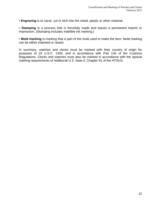- **Engraving** is to carve, cut or etch into the metal, plastic or other material.
- **Stamping** is a process that is forcefully made and leaves a permanent imprint or impression. (Stamping includes indelible ink marking.)

• **Mold marking** is marking that is part of the mold used to make the item. Mold marking can be either indented or raised.

In summary, watches and clocks must be marked with their country of origin for purposes of 19 U.S.C. 1304, and in accordance with Part 134 of the Customs Regulations. Clocks and watches must also be marked in accordance with the special marking requirements of Additional U.S. Note 4, Chapter 91 of the HTSUS.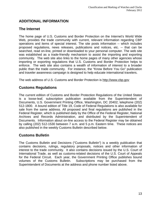## <span id="page-12-0"></span>**ADDITIONAL INFORMATION**

## <span id="page-12-1"></span>**The Internet**

The home page of U.S. Customs and Border Protection on the Internet's World Wide Web, provides the trade community with current, relevant information regarding CBP operations and items of special interest. The site posts information -- which includes proposed regulations, news releases, publications and notices, etc. -- that can be searched, read on-line, printed or downloaded to your personal computer. The web site was established as a trade-friendly mechanism to assist the importing and exporting community. The web site also links to the home pages of many other agencies whose importing or exporting regulations that U.S. Customs and Border Protection helps to enforce. The web site also contains a wealth of information of interest to a broader public than the trade community. For instance, the "Know Before You Go" publication and traveler awareness campaign is designed to help educate international travelers.

The web address of U.S. Customs and Border Protection is [http://www.cbp.gov](http://www.customs.ustreas.gov./)

## <span id="page-12-2"></span>**Customs Regulations**

The current edition of Customs and Border Protection Regulations of the United States is a loose-leaf, subscription publication available from the Superintendent of Documents, U.S. Government Printing Office, Washington, DC 20402; telephone (202) 512-1800. A bound edition of Title 19, Code of Federal Regulations is also available for sale from the same address. All proposed and final regulations are published in the Federal Register, which is published daily by the Office of the Federal Register, National Archives and Records Administration, and distributed by the Superintendent of Documents. Information about on-line access to the Federal Register may be obtained by calling (202) 512-1530 between 7 a.m. and 5 p.m. Eastern time. These notices are also published in the weekly Customs Bulletin described below.

### <span id="page-12-3"></span>**Customs Bulletin**

The Customs Bulletin and Decisions ("Customs Bulletin") is a weekly publication that contains decisions, rulings, regulatory proposals, notices and other information of interest to the trade community. It also contains decisions issued by the U.S. Court of International Trade, as well as customs-related decisions of the U.S. Court of Appeals for the Federal Circuit. Each year, the Government Printing Office publishes bound volumes of the Customs Bulletin. Subscriptions may be purchased from the Superintendent of Documents at the address and phone number listed above.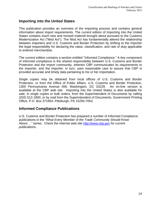## <span id="page-13-0"></span>**Importing into the United States**

This publication provides an overview of the importing process and contains general information about import requirements. The current edition of Importing Into the United States contains much new and revised material brought about pursuant to the Customs Modernization Act ("Mod Act"). The Mod Act has fundamentally altered the relationship between importers and U.S. Customs and Border Protection by shifting to the importer the legal responsibility for declaring the value, classification, and rate of duty applicable to entered merchandise.

The current edition contains a section entitled "Informed Compliance." A key component of informed compliance is the shared responsibility between U.S. Customs and Border Protection and the import community, wherein CBP communicates its requirements to the importer, and the importer, in turn, uses reasonable care to assure that CBP is provided accurate and timely data pertaining to his or her importation.

Single copies may be obtained from local offices of U.S. Customs and Border Protection, or from the Office of Public Affairs, U.S. Customs and Border Protection, 1300 Pennsylvania Avenue NW, Washington, DC 20229. An on-line version is available at the CBP web site. Importing into the United States is also available for sale, in single copies or bulk orders, from the Superintendent of Documents by calling (202) 512-1800, or by mail from the Superintendent of Documents, Government Printing Office, P.O. Box 371954, Pittsburgh, PA 15250-7054.

## <span id="page-13-1"></span>**Informed Compliance Publications**

U.S. Customs and Border Protection has prepared a number of Informed Compliance publications in the "*What Every Member of the Trade Community Should Know About:…"* series. Check the Internet web site http://www.cbp.gov for current publications.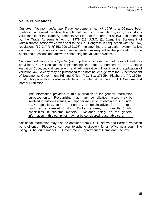## <span id="page-14-0"></span>**Value Publications**

*Customs Valuation under the Trade Agreements Act of 1979* is a 96-page book containing a detailed narrative description of the customs valuation system, the customs valuation title of the Trade Agreements Act (§402 of the Tariff Act of 1930, as amended by the Trade Agreements Act of 1979 (19 U.S.C. §1401a)), the Statement of Administrative Action which was sent to the U.S. Congress in conjunction with the TAA, regulations (19 C.F.R. §§152.000-152.108) implementing the valuation system (a few sections of the regulations have been amended subsequent to the publication of the book) and questions and answers concerning the valuation system.

*Customs Valuation Encyclopedia* (with updates) is comprised of relevant statutory provisions, CBP Regulations implementing the statute, portions of the Customs Valuation Code, judicial precedent, and administrative rulings involving application of valuation law. A copy may be purchased for a nominal charge from the Superintendent of Documents, Government Printing Office, P.O. Box 371954, Pittsburgh, PA 15250- 7054. This publication is also available on the Internet web site of U.S. Customs and Border Protection.

The information provided in this publication is for general information purposes only. Recognizing that many complicated factors may be involved in customs issues, an importer may wish to obtain a ruling under CBP Regulations, 19 C.F.R. Part 177, or obtain advice from an expert (such as a licensed Customs Broker, attorney or consultant) who specializes in customs matters. Reliance solely on the general information in this pamphlet may not be considered reasonable care.

Additional information may also be obtained from U.S. Customs and Border Protection ports of entry. Please consult your telephone directory for an office near you. The listing will be found under U.S. Government, Department of Homeland Security.